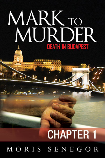# MARK TO MURDER **DEATH IN BUDAPEST**

## **CHAPTER 1** MORIS SENEGOR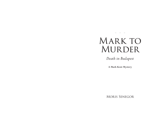\* \* \*

## MARK TO MURDER

Death in Budapest

A Mark Kent Mystery

**MORIS SENEGOR**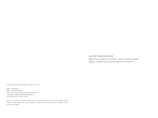#### ALSO BY MORIS SENEGOR

*Appassionata: and other stories of lovers, travelers, dreamers and rogues Dogmeat: A Memoir of Love and Neurosurgery in San Francisco*

Copyright© 2018 Moris Senegor. All rights reserved.

ISBN: 1976099072 ISBN 13: 9781976099076 Library of Congress Control Number: 2017915565 CreateSpace Independent Publishing Platform North Charleston, South Carolina

This is a work of fiction. Names, characters, places, and incidents are a product of the author's imagination or are used fictitiously. Any resemblance to actual events, locales, or persons, living or dead, is entirely coincidental.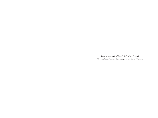To the boys and girls of English High School, Istanbul. We have dispersed all over the world, yet we are still in Nişantaşı.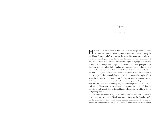### *Chapter 1*

#### \*\*\*

He took the elevator down to the Royal Suite wearing a luxurious white bathrobe and flip-flops, enjoying cool air after the hot sauna. Pulling out his iPhone from the robe's side pocket, he pressed its home button, checking for time. Five-fifty p.m. More than an hour to prepare for his rendezvous. His eyes lazily drifted to the ornate elevator panel, lights changing slowly on floor markers, as he thought about Olga, the masseuse. Older now, plumper, but it didn't matter. She had skillfully handled his impressive erection, her lips soft, her mouth velvety smooth. He had wanted more but this would certainly do for now. The vigorous massage she followed with had eased all the tension of the past days. She had particularly concentrated on his muscular thighs, which, according to her, were all knotted up. It provoked another erection that she deftly covered with a nearby towel as she carried on, responding to his broad grin with a slight curl of her meaty lips, now free of lipstick. The sauna at the end was brief but divine. As the elevator door opened on the second floor, he thought he had enough time to finish himself off again before taking a shower and getting dressed.

The suite was chilly, a light snow outside dusting windowsills facing an ornate, spacious balcony. A March sun was setting over the Danube, traffic on the Chain Bridge heavy with Tuesday evening commuters. The bridge and its colossal columns were already lit. In another hour, when full darkness fell,